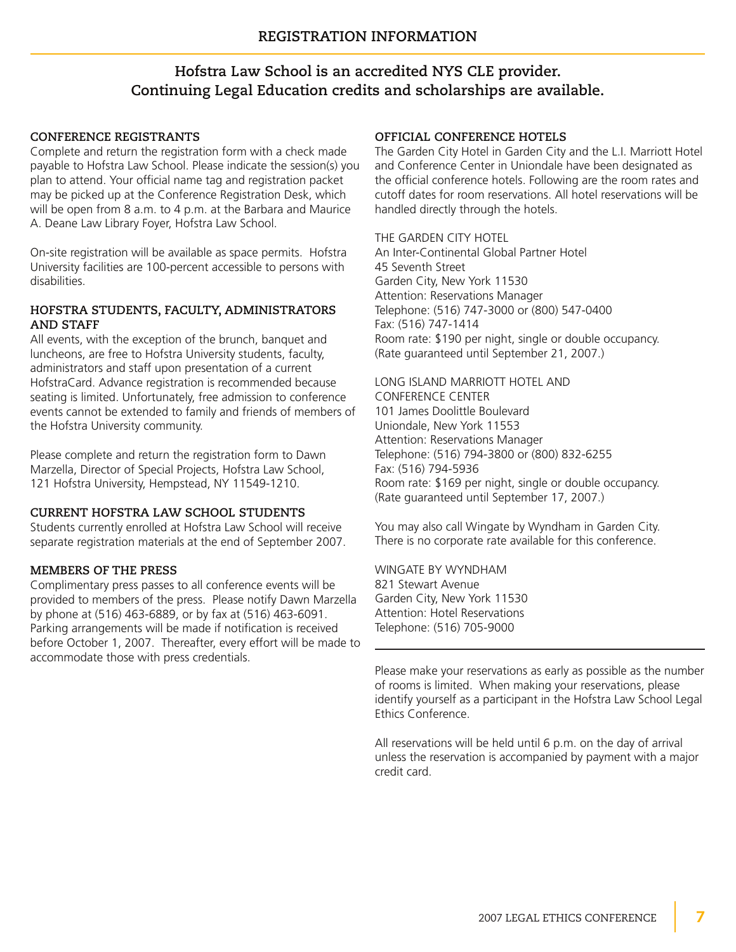# **Hofstra Law School is an accredited NYS CLE provider. Continuing Legal Education credits and scholarships are available.**

# **CONFERENCE REGISTRANTS**

Complete and return the registration form with a check made payable to Hofstra Law School. Please indicate the session(s) you plan to attend. Your official name tag and registration packet may be picked up at the Conference Registration Desk, which will be open from 8 a.m. to 4 p.m. at the Barbara and Maurice A. Deane Law Library Foyer, Hofstra Law School.

On-site registration will be available as space permits. Hofstra University facilities are 100-percent accessible to persons with disabilities.

## **HOFSTRA STUDENTS, FACULTY, ADMINISTRATORS AND STAFF**

All events, with the exception of the brunch, banquet and luncheons, are free to Hofstra University students, faculty, administrators and staff upon presentation of a current HofstraCard. Advance registration is recommended because seating is limited. Unfortunately, free admission to conference events cannot be extended to family and friends of members of the Hofstra University community.

Please complete and return the registration form to Dawn Marzella, Director of Special Projects, Hofstra Law School, 121 Hofstra University, Hempstead, NY 11549-1210.

# **CURRENT HOFSTRA LAW SCHOOL STUDENTS**

Students currently enrolled at Hofstra Law School will receive separate registration materials at the end of September 2007.

# **MEMBERS OF THE PRESS**

Complimentary press passes to all conference events will be provided to members of the press. Please notify Dawn Marzella by phone at (516) 463-6889, or by fax at (516) 463-6091. Parking arrangements will be made if notification is received before October 1, 2007. Thereafter, every effort will be made to accommodate those with press credentials.

# **OFFICIAL CONFERENCE HOTELS**

The Garden City Hotel in Garden City and the L.I. Marriott Hotel and Conference Center in Uniondale have been designated as the official conference hotels. Following are the room rates and cutoff dates for room reservations. All hotel reservations will be handled directly through the hotels.

# THE GARDEN CITY HOTEL

An Inter-Continental Global Partner Hotel 45 Seventh Street Garden City, New York 11530 Attention: Reservations Manager Telephone: (516) 747-3000 or (800) 547-0400 Fax: (516) 747-1414 Room rate: \$190 per night, single or double occupancy. (Rate guaranteed until September 21, 2007.)

LONG ISLAND MARRIOTT HOTEL AND CONFERENCE CENTER 101 James Doolittle Boulevard Uniondale, New York 11553 Attention: Reservations Manager Telephone: (516) 794-3800 or (800) 832-6255 Fax: (516) 794-5936 Room rate: \$169 per night, single or double occupancy. (Rate guaranteed until September 17, 2007.)

You may also call Wingate by Wyndham in Garden City. There is no corporate rate available for this conference.

WINGATE BY WYNDHAM 821 Stewart Avenue Garden City, New York 11530 Attention: Hotel Reservations Telephone: (516) 705-9000

Please make your reservations as early as possible as the number of rooms is limited. When making your reservations, please identify yourself as a participant in the Hofstra Law School Legal Ethics Conference.

All reservations will be held until 6 p.m. on the day of arrival unless the reservation is accompanied by payment with a major credit card.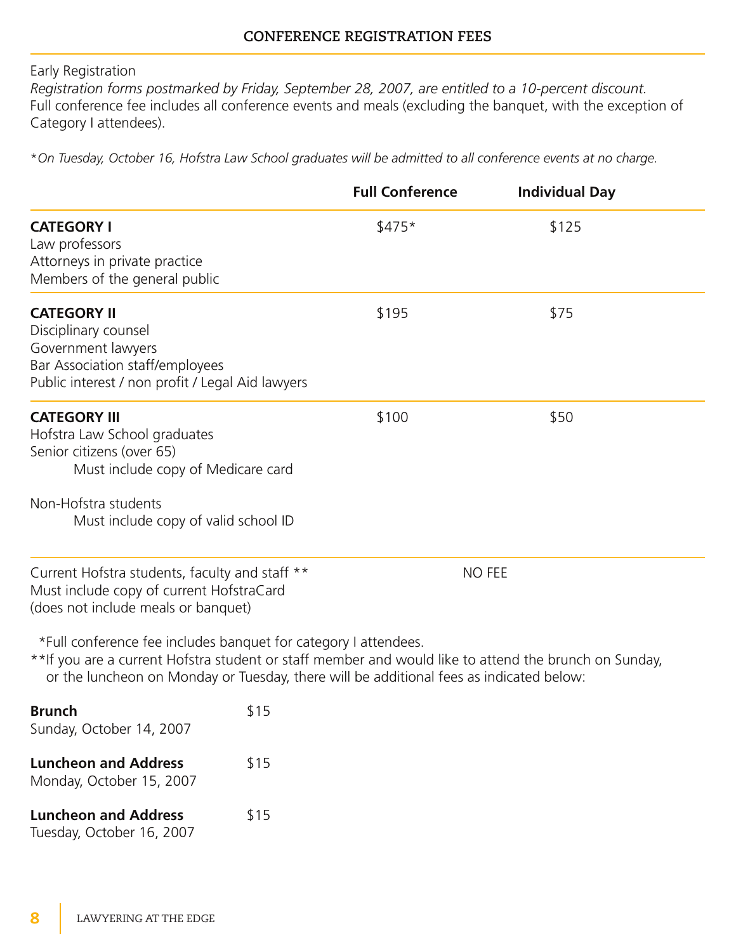Early Registration

*Registration forms postmarked by Friday, September 28, 2007, are entitled to a 10-percent discount.* Full conference fee includes all conference events and meals (excluding the banquet, with the exception of Category I attendees).

\*On Tuesday, October 16, Hofstra Law School graduates will be admitted to all conference events at no charge.

|                                                                                                                                                                                                                                                                      |      | <b>Full Conference</b> | <b>Individual Day</b> |  |
|----------------------------------------------------------------------------------------------------------------------------------------------------------------------------------------------------------------------------------------------------------------------|------|------------------------|-----------------------|--|
| <b>CATEGORY I</b><br>Law professors<br>Attorneys in private practice<br>Members of the general public                                                                                                                                                                |      | $$475*$                | \$125                 |  |
| <b>CATEGORY II</b><br>Disciplinary counsel<br>Government lawyers<br>Bar Association staff/employees<br>Public interest / non profit / Legal Aid lawyers                                                                                                              |      | \$195                  | \$75                  |  |
| <b>CATEGORY III</b><br>Hofstra Law School graduates<br>Senior citizens (over 65)<br>Must include copy of Medicare card<br>Non-Hofstra students<br>Must include copy of valid school ID                                                                               |      | \$100                  | \$50                  |  |
| Current Hofstra students, faculty and staff **<br>Must include copy of current HofstraCard<br>(does not include meals or banquet)                                                                                                                                    |      | <b>NO FEE</b>          |                       |  |
| *Full conference fee includes banquet for category I attendees.<br>** If you are a current Hofstra student or staff member and would like to attend the brunch on Sunday,<br>or the luncheon on Monday or Tuesday, there will be additional fees as indicated below: |      |                        |                       |  |
| <b>Brunch</b><br>Sunday, October 14, 2007                                                                                                                                                                                                                            | \$15 |                        |                       |  |
| <b>Luncheon and Address</b><br>Monday, October 15, 2007                                                                                                                                                                                                              | \$15 |                        |                       |  |
| <b>Luncheon and Address</b>                                                                                                                                                                                                                                          | \$15 |                        |                       |  |

Tuesday, October 16, 2007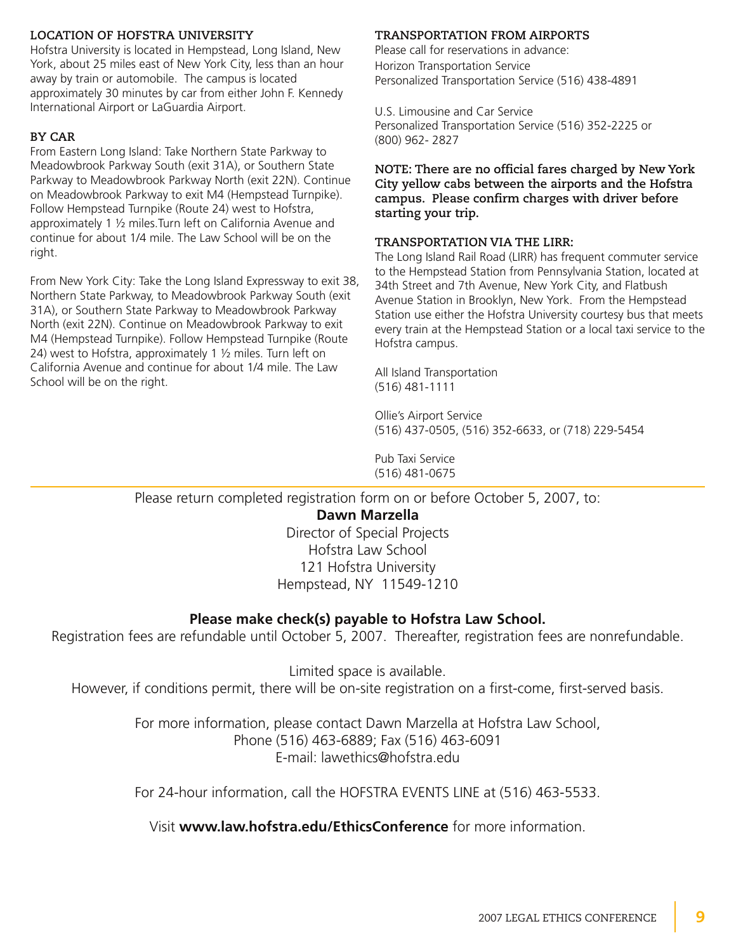# **LOCATION OF HOFSTRA UNIVERSITY**

Hofstra University is located in Hempstead, Long Island, New York, about 25 miles east of New York City, less than an hour away by train or automobile. The campus is located approximately 30 minutes by car from either John F. Kennedy International Airport or LaGuardia Airport.

## **BY CAR**

From Eastern Long Island: Take Northern State Parkway to Meadowbrook Parkway South (exit 31A), or Southern State Parkway to Meadowbrook Parkway North (exit 22N). Continue on Meadowbrook Parkway to exit M4 (Hempstead Turnpike). Follow Hempstead Turnpike (Route 24) west to Hofstra, approximately 1 ½ miles.Turn left on California Avenue and continue for about 1/4 mile. The Law School will be on the right.

From New York City: Take the Long Island Expressway to exit 38, Northern State Parkway, to Meadowbrook Parkway South (exit 31A), or Southern State Parkway to Meadowbrook Parkway North (exit 22N). Continue on Meadowbrook Parkway to exit M4 (Hempstead Turnpike). Follow Hempstead Turnpike (Route 24) west to Hofstra, approximately 1  $\frac{1}{2}$  miles. Turn left on California Avenue and continue for about 1/4 mile. The Law School will be on the right.

### **TRANSPORTATION FROM AIRPORTS**

Please call for reservations in advance: Horizon Transportation Service Personalized Transportation Service (516) 438-4891

U.S. Limousine and Car Service Personalized Transportation Service (516) 352-2225 or (800) 962- 2827

**NOTE: There are no official fares charged by New York City yellow cabs between the airports and the Hofstra campus. Please confirm charges with driver before starting your trip.**

#### **TRANSPORTATION VIA THE LIRR:**

The Long Island Rail Road (LIRR) has frequent commuter service to the Hempstead Station from Pennsylvania Station, located at 34th Street and 7th Avenue, New York City, and Flatbush Avenue Station in Brooklyn, New York. From the Hempstead Station use either the Hofstra University courtesy bus that meets every train at the Hempstead Station or a local taxi service to the Hofstra campus.

All Island Transportation (516) 481-1111

Ollie's Airport Service (516) 437-0505, (516) 352-6633, or (718) 229-5454

Pub Taxi Service (516) 481-0675

Please return completed registration form on or before October 5, 2007, to: **Dawn Marzella** Director of Special Projects Hofstra Law School 121 Hofstra University

Hempstead, NY 11549-1210

# **Please make check(s) payable to Hofstra Law School.**

Registration fees are refundable until October 5, 2007. Thereafter, registration fees are nonrefundable.

Limited space is available. However, if conditions permit, there will be on-site registration on a first-come, first-served basis.

> For more information, please contact Dawn Marzella at Hofstra Law School, Phone (516) 463-6889; Fax (516) 463-6091 E-mail: lawethics@hofstra.edu

> For 24-hour information, call the HOFSTRA EVENTS LINE at (516) 463-5533.

Visit **www.law.hofstra.edu/EthicsConference** for more information.